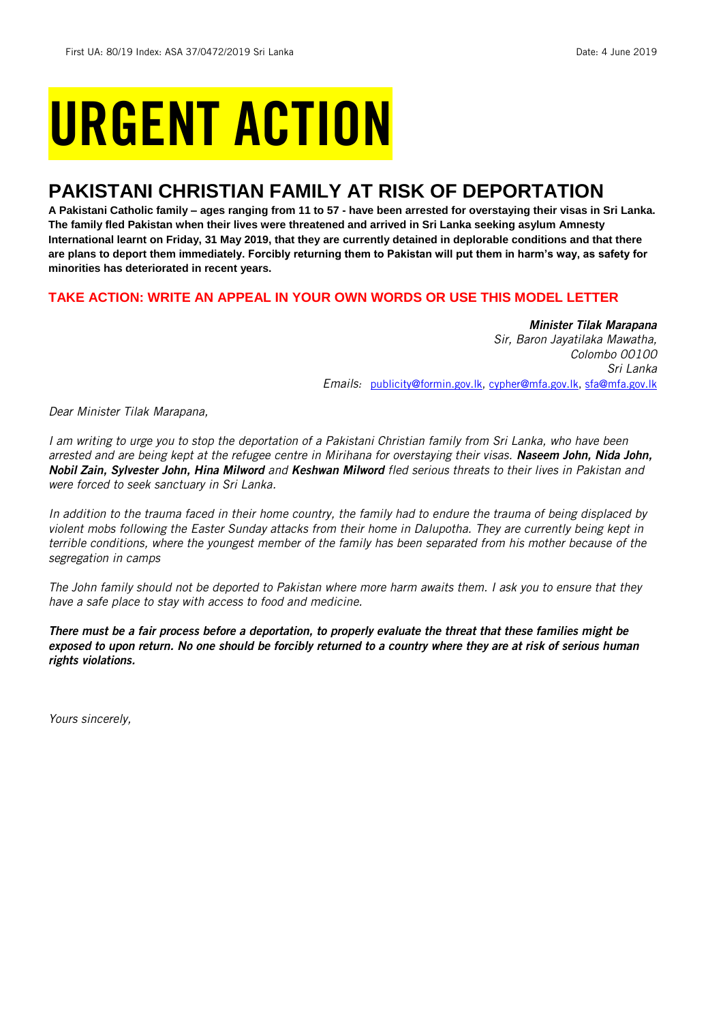# URGENT ACTION

## **PAKISTANI CHRISTIAN FAMILY AT RISK OF DEPORTATION**

**A Pakistani Catholic family – ages ranging from 11 to 57 - have been arrested for overstaying their visas in Sri Lanka. The family fled Pakistan when their lives were threatened and arrived in Sri Lanka seeking asylum Amnesty International learnt on Friday, 31 May 2019, that they are currently detained in deplorable conditions and that there are plans to deport them immediately. Forcibly returning them to Pakistan will put them in harm's way, as safety for minorities has deteriorated in recent years.** 

### **TAKE ACTION: WRITE AN APPEAL IN YOUR OWN WORDS OR USE THIS MODEL LETTER**

*Minister Tilak Marapana Sir, Baron Jayatilaka Mawatha, Colombo 00100 Sri Lanka Emails:* [publicity@formin.gov.lk,](mailto:publicity@formin.gov.lk) [cypher@mfa.gov.lk,](mailto:cypher@mfa.gov.lk) [sfa@mfa.gov.lk](mailto:sfa@mfa.gov.lk)

*Dear Minister Tilak Marapana,*

*I am writing to urge you to stop the deportation of a Pakistani Christian family from Sri Lanka, who have been arrested and are being kept at the refugee centre in Mirihana for overstaying their visas. Naseem John, Nida John, Nobil Zain, Sylvester John, Hina Milword and Keshwan Milword fled serious threats to their lives in Pakistan and were forced to seek sanctuary in Sri Lanka.* 

*In addition to the trauma faced in their home country, the family had to endure the trauma of being displaced by violent mobs following the Easter Sunday attacks from their home in Dalupotha. They are currently being kept in terrible conditions, where the youngest member of the family has been separated from his mother because of the segregation in camps*

*The John family should not be deported to Pakistan where more harm awaits them. I ask you to ensure that they have a safe place to stay with access to food and medicine.* 

*There must be a fair process before a deportation, to properly evaluate the threat that these families might be exposed to upon return. No one should be forcibly returned to a country where they are at risk of serious human rights violations.*

*Yours sincerely,*